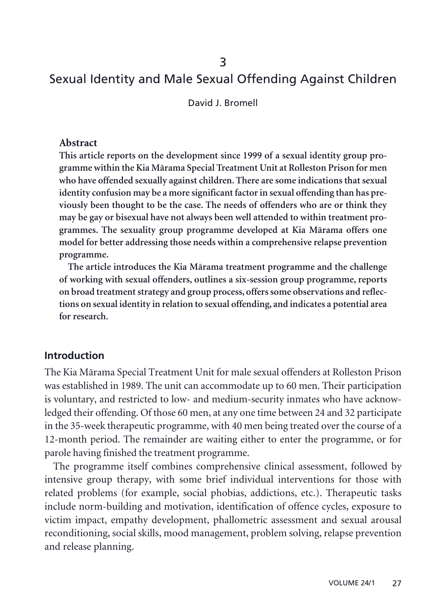# Sexual Identity and Male Sexual Offending Against Children

David J. Bromell

#### **Abstract**

**This article reports on the development since 1999 of a sexual identity group programme within the Kia Märama Special Treatment Unit at Rolleston Prison for men who have offended sexually against children. There are some indications that sexual identity confusion may be a more significant factor in sexual offending than has previously been thought to be the case. The needs of offenders who are or think they may be gay or bisexual have not always been well attended to within treatment programmes. The sexuality group programme developed at Kia Märama offers one model for better addressing those needs within a comprehensive relapse prevention programme.**

**The article introduces the Kia Märama treatment programme and the challenge of working with sexual offenders, outlines a six-session group programme, reports on broad treatment strategy and group process, offers some observations and reflections on sexual identity in relation to sexual offending, and indicates a potential area for research.**

### **Introduction**

The Kia Märama Special Treatment Unit for male sexual offenders at Rolleston Prison was established in 1989. The unit can accommodate up to 60 men. Their participation is voluntary, and restricted to low- and medium-security inmates who have acknowledged their offending. Of those 60 men, at any one time between 24 and 32 participate in the 35-week therapeutic programme, with 40 men being treated over the course of a 12-month period. The remainder are waiting either to enter the programme, or for parole having finished the treatment programme.

The programme itself combines comprehensive clinical assessment, followed by intensive group therapy, with some brief individual interventions for those with related problems (for example, social phobias, addictions, etc.). Therapeutic tasks include norm-building and motivation, identification of offence cycles, exposure to victim impact, empathy development, phallometric assessment and sexual arousal reconditioning, social skills, mood management, problem solving, relapse prevention and release planning.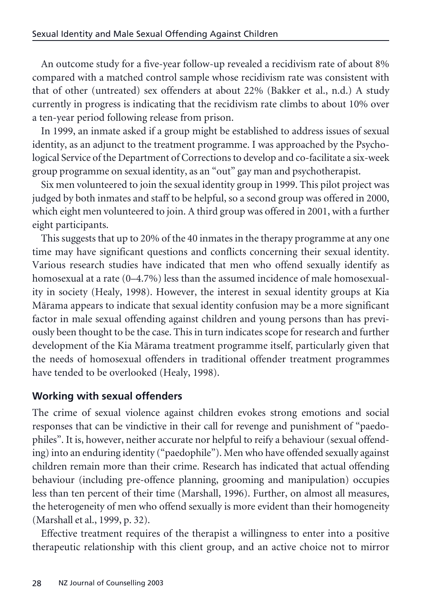An outcome study for a five-year follow-up revealed a recidivism rate of about 8% compared with a matched control sample whose recidivism rate was consistent with that of other (untreated) sex offenders at about 22% (Bakker et al., n.d.) A study currently in progress is indicating that the recidivism rate climbs to about 10% over a ten-year period following release from prison.

In 1999, an inmate asked if a group might be established to address issues of sexual identity, as an adjunct to the treatment programme. I was approached by the Psychological Service of the Department of Corrections to develop and co-facilitate a six-week group programme on sexual identity, as an "out" gay man and psychotherapist.

Six men volunteered to join the sexual identity group in 1999. This pilot project was judged by both inmates and staff to be helpful, so a second group was offered in 2000, which eight men volunteered to join. A third group was offered in 2001, with a further eight participants.

This suggests that up to 20% of the 40 inmates in the therapy programme at any one time may have significant questions and conflicts concerning their sexual identity. Various research studies have indicated that men who offend sexually identify as homosexual at a rate (0–4.7%) less than the assumed incidence of male homosexuality in society (Healy, 1998). However, the interest in sexual identity groups at Kia Märama appears to indicate that sexual identity confusion may be a more significant factor in male sexual offending against children and young persons than has previously been thought to be the case. This in turn indicates scope for research and further development of the Kia Märama treatment programme itself, particularly given that the needs of homosexual offenders in traditional offender treatment programmes have tended to be overlooked (Healy, 1998).

# **Working with sexual offenders**

The crime of sexual violence against children evokes strong emotions and social responses that can be vindictive in their call for revenge and punishment of "paedophiles". It is, however, neither accurate nor helpful to reify a behaviour (sexual offending) into an enduring identity ("paedophile"). Men who have offended sexually against children remain more than their crime. Research has indicated that actual offending behaviour (including pre-offence planning, grooming and manipulation) occupies less than ten percent of their time (Marshall, 1996). Further, on almost all measures, the heterogeneity of men who offend sexually is more evident than their homogeneity (Marshall et al., 1999, p. 32).

Effective treatment requires of the therapist a willingness to enter into a positive therapeutic relationship with this client group, and an active choice not to mirror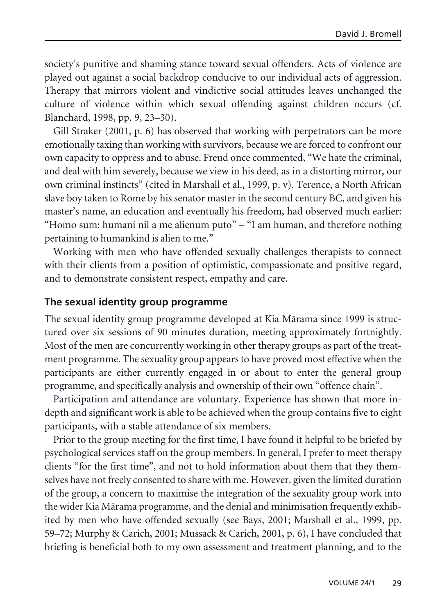society's punitive and shaming stance toward sexual offenders. Acts of violence are played out against a social backdrop conducive to our individual acts of aggression. Therapy that mirrors violent and vindictive social attitudes leaves unchanged the culture of violence within which sexual offending against children occurs (cf. Blanchard, 1998, pp. 9, 23–30).

Gill Straker (2001, p. 6) has observed that working with perpetrators can be more emotionally taxing than working with survivors, because we are forced to confront our own capacity to oppress and to abuse. Freud once commented, "We hate the criminal, and deal with him severely, because we view in his deed, as in a distorting mirror, our own criminal instincts" (cited in Marshall et al., 1999, p. v). Terence, a North African slave boy taken to Rome by his senator master in the second century BC, and given his master's name, an education and eventually his freedom, had observed much earlier: "Homo sum: humani nil a me alienum puto" – "I am human, and therefore nothing pertaining to humankind is alien to me."

Working with men who have offended sexually challenges therapists to connect with their clients from a position of optimistic, compassionate and positive regard, and to demonstrate consistent respect, empathy and care.

#### **The sexual identity group programme**

The sexual identity group programme developed at Kia Märama since 1999 is structured over six sessions of 90 minutes duration, meeting approximately fortnightly. Most of the men are concurrently working in other therapy groups as part of the treatment programme. The sexuality group appears to have proved most effective when the participants are either currently engaged in or about to enter the general group programme, and specifically analysis and ownership of their own "offence chain".

Participation and attendance are voluntary. Experience has shown that more indepth and significant work is able to be achieved when the group contains five to eight participants, with a stable attendance of six members.

Prior to the group meeting for the first time, I have found it helpful to be briefed by psychological services staff on the group members. In general, I prefer to meet therapy clients "for the first time", and not to hold information about them that they themselves have not freely consented to share with me. However, given the limited duration of the group, a concern to maximise the integration of the sexuality group work into the wider Kia Märama programme, and the denial and minimisation frequently exhibited by men who have offended sexually (see Bays, 2001; Marshall et al., 1999, pp. 59–72; Murphy & Carich, 2001; Mussack & Carich, 2001, p. 6), I have concluded that briefing is beneficial both to my own assessment and treatment planning, and to the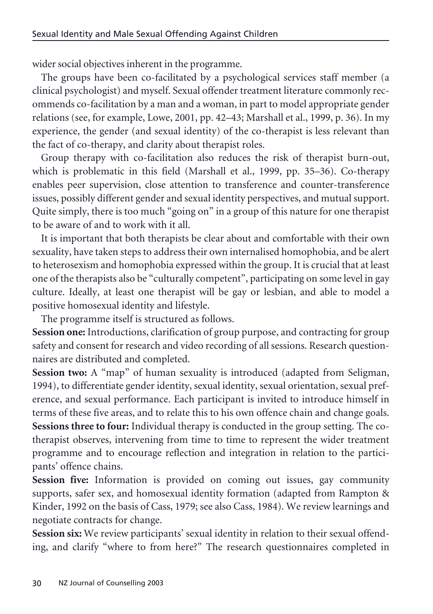wider social objectives inherent in the programme.

The groups have been co-facilitated by a psychological services staff member (a clinical psychologist) and myself. Sexual offender treatment literature commonly recommends co-facilitation by a man and a woman, in part to model appropriate gender relations (see, for example, Lowe, 2001, pp. 42–43; Marshall et al., 1999, p. 36). In my experience, the gender (and sexual identity) of the co-therapist is less relevant than the fact of co-therapy, and clarity about therapist roles.

Group therapy with co-facilitation also reduces the risk of therapist burn-out, which is problematic in this field (Marshall et al., 1999, pp. 35–36). Co-therapy enables peer supervision, close attention to transference and counter-transference issues, possibly different gender and sexual identity perspectives, and mutual support. Quite simply, there is too much "going on" in a group of this nature for one therapist to be aware of and to work with it all.

It is important that both therapists be clear about and comfortable with their own sexuality, have taken steps to address their own internalised homophobia, and be alert to heterosexism and homophobia expressed within the group. It is crucial that at least one of the therapists also be "culturally competent", participating on some level in gay culture. Ideally, at least one therapist will be gay or lesbian, and able to model a positive homosexual identity and lifestyle.

The programme itself is structured as follows.

**Session one:** Introductions, clarification of group purpose, and contracting for group safety and consent for research and video recording of all sessions. Research questionnaires are distributed and completed.

**Session two:** A "map" of human sexuality is introduced (adapted from Seligman, 1994), to differentiate gender identity, sexual identity, sexual orientation, sexual preference, and sexual performance. Each participant is invited to introduce himself in terms of these five areas, and to relate this to his own offence chain and change goals. **Sessions three to four:** Individual therapy is conducted in the group setting. The cotherapist observes, intervening from time to time to represent the wider treatment programme and to encourage reflection and integration in relation to the participants' offence chains.

**Session five:** Information is provided on coming out issues, gay community supports, safer sex, and homosexual identity formation (adapted from Rampton & Kinder, 1992 on the basis of Cass, 1979; see also Cass, 1984). We review learnings and negotiate contracts for change.

Session six: We review participants' sexual identity in relation to their sexual offending, and clarify "where to from here?" The research questionnaires completed in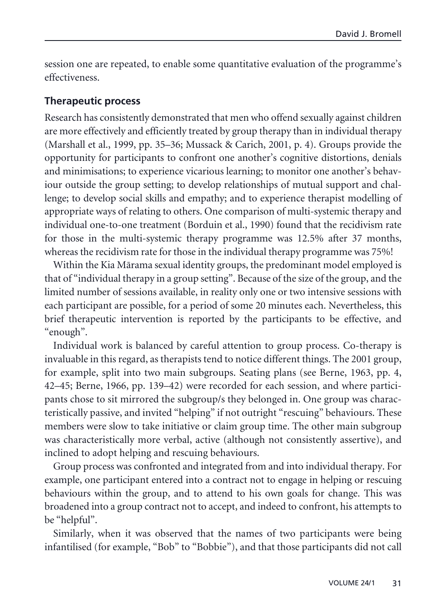session one are repeated, to enable some quantitative evaluation of the programme's effectiveness.

#### **Therapeutic process**

Research has consistently demonstrated that men who offend sexually against children are more effectively and efficiently treated by group therapy than in individual therapy (Marshall et al., 1999, pp. 35–36; Mussack & Carich, 2001, p. 4). Groups provide the opportunity for participants to confront one another's cognitive distortions, denials and minimisations; to experience vicarious learning; to monitor one another's behaviour outside the group setting; to develop relationships of mutual support and challenge; to develop social skills and empathy; and to experience therapist modelling of appropriate ways of relating to others. One comparison of multi-systemic therapy and individual one-to-one treatment (Borduin et al., 1990) found that the recidivism rate for those in the multi-systemic therapy programme was 12.5% after 37 months, whereas the recidivism rate for those in the individual therapy programme was 75%!

Within the Kia Märama sexual identity groups, the predominant model employed is that of "individual therapy in a group setting". Because of the size of the group, and the limited number of sessions available, in reality only one or two intensive sessions with each participant are possible, for a period of some 20 minutes each. Nevertheless, this brief therapeutic intervention is reported by the participants to be effective, and "enough".

Individual work is balanced by careful attention to group process. Co-therapy is invaluable in this regard, as therapists tend to notice different things. The 2001 group, for example, split into two main subgroups. Seating plans (see Berne, 1963, pp. 4, 42–45; Berne, 1966, pp. 139–42) were recorded for each session, and where participants chose to sit mirrored the subgroup/s they belonged in. One group was characteristically passive, and invited "helping" if not outright "rescuing" behaviours. These members were slow to take initiative or claim group time. The other main subgroup was characteristically more verbal, active (although not consistently assertive), and inclined to adopt helping and rescuing behaviours.

Group process was confronted and integrated from and into individual therapy. For example, one participant entered into a contract not to engage in helping or rescuing behaviours within the group, and to attend to his own goals for change. This was broadened into a group contract not to accept, and indeed to confront, his attempts to be "helpful".

Similarly, when it was observed that the names of two participants were being infantilised (for example, "Bob" to "Bobbie"), and that those participants did not call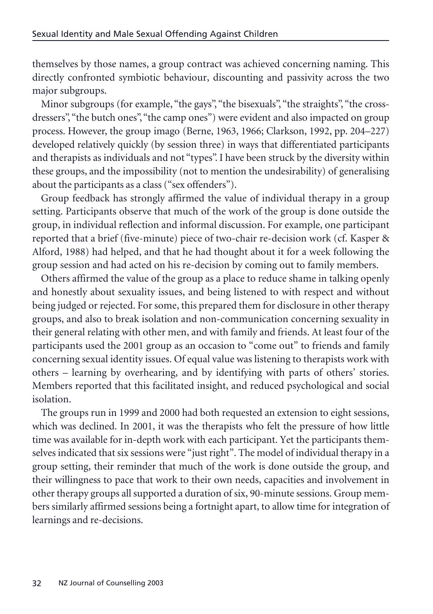themselves by those names, a group contract was achieved concerning naming. This directly confronted symbiotic behaviour, discounting and passivity across the two major subgroups.

Minor subgroups (for example, "the gays", "the bisexuals", "the straights", "the crossdressers", "the butch ones", "the camp ones") were evident and also impacted on group process. However, the group imago (Berne, 1963, 1966; Clarkson, 1992, pp. 204–227) developed relatively quickly (by session three) in ways that differentiated participants and therapists as individuals and not "types". I have been struck by the diversity within these groups, and the impossibility (not to mention the undesirability) of generalising about the participants as a class ("sex offenders").

Group feedback has strongly affirmed the value of individual therapy in a group setting. Participants observe that much of the work of the group is done outside the group, in individual reflection and informal discussion. For example, one participant reported that a brief (five-minute) piece of two-chair re-decision work (cf. Kasper & Alford, 1988) had helped, and that he had thought about it for a week following the group session and had acted on his re-decision by coming out to family members.

Others affirmed the value of the group as a place to reduce shame in talking openly and honestly about sexuality issues, and being listened to with respect and without being judged or rejected. For some, this prepared them for disclosure in other therapy groups, and also to break isolation and non-communication concerning sexuality in their general relating with other men, and with family and friends. At least four of the participants used the 2001 group as an occasion to "come out" to friends and family concerning sexual identity issues. Of equal value was listening to therapists work with others – learning by overhearing, and by identifying with parts of others' stories. Members reported that this facilitated insight, and reduced psychological and social isolation.

The groups run in 1999 and 2000 had both requested an extension to eight sessions, which was declined. In 2001, it was the therapists who felt the pressure of how little time was available for in-depth work with each participant. Yet the participants themselves indicated that six sessions were "just right". The model of individual therapy in a group setting, their reminder that much of the work is done outside the group, and their willingness to pace that work to their own needs, capacities and involvement in other therapy groups all supported a duration of six, 90-minute sessions. Group members similarly affirmed sessions being a fortnight apart, to allow time for integration of learnings and re-decisions.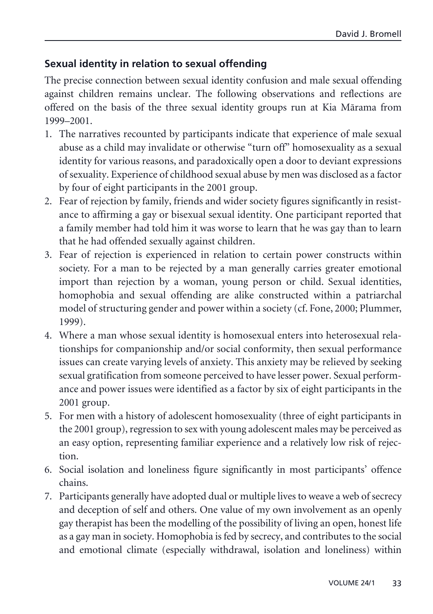# **Sexual identity in relation to sexual offending**

The precise connection between sexual identity confusion and male sexual offending against children remains unclear. The following observations and reflections are offered on the basis of the three sexual identity groups run at Kia Märama from 1999–2001.

- 1. The narratives recounted by participants indicate that experience of male sexual abuse as a child may invalidate or otherwise "turn off" homosexuality as a sexual identity for various reasons, and paradoxically open a door to deviant expressions of sexuality. Experience of childhood sexual abuse by men was disclosed as a factor by four of eight participants in the 2001 group.
- 2. Fear of rejection by family, friends and wider society figures significantly in resistance to affirming a gay or bisexual sexual identity. One participant reported that a family member had told him it was worse to learn that he was gay than to learn that he had offended sexually against children.
- 3. Fear of rejection is experienced in relation to certain power constructs within society. For a man to be rejected by a man generally carries greater emotional import than rejection by a woman, young person or child. Sexual identities, homophobia and sexual offending are alike constructed within a patriarchal model of structuring gender and power within a society (cf. Fone, 2000; Plummer, 1999).
- 4. Where a man whose sexual identity is homosexual enters into heterosexual relationships for companionship and/or social conformity, then sexual performance issues can create varying levels of anxiety. This anxiety may be relieved by seeking sexual gratification from someone perceived to have lesser power. Sexual performance and power issues were identified as a factor by six of eight participants in the 2001 group.
- 5. For men with a history of adolescent homosexuality (three of eight participants in the 2001 group), regression to sex with young adolescent males may be perceived as an easy option, representing familiar experience and a relatively low risk of rejection.
- 6. Social isolation and loneliness figure significantly in most participants' offence chains.
- 7. Participants generally have adopted dual or multiple lives to weave a web of secrecy and deception of self and others. One value of my own involvement as an openly gay therapist has been the modelling of the possibility of living an open, honest life as a gay man in society. Homophobia is fed by secrecy, and contributes to the social and emotional climate (especially withdrawal, isolation and loneliness) within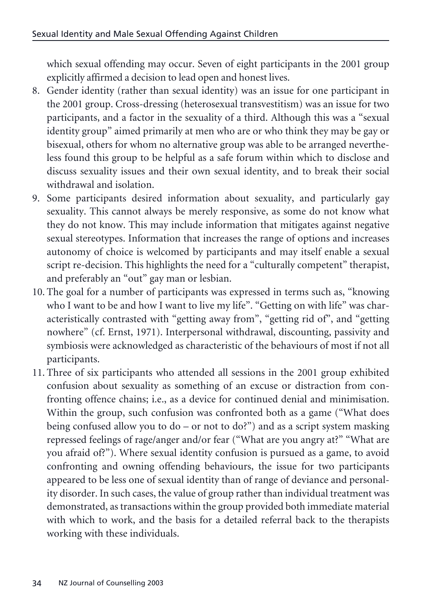which sexual offending may occur. Seven of eight participants in the 2001 group explicitly affirmed a decision to lead open and honest lives.

- 8. Gender identity (rather than sexual identity) was an issue for one participant in the 2001 group. Cross-dressing (heterosexual transvestitism) was an issue for two participants, and a factor in the sexuality of a third. Although this was a "sexual identity group" aimed primarily at men who are or who think they may be gay or bisexual, others for whom no alternative group was able to be arranged nevertheless found this group to be helpful as a safe forum within which to disclose and discuss sexuality issues and their own sexual identity, and to break their social withdrawal and isolation.
- 9. Some participants desired information about sexuality, and particularly gay sexuality. This cannot always be merely responsive, as some do not know what they do not know. This may include information that mitigates against negative sexual stereotypes. Information that increases the range of options and increases autonomy of choice is welcomed by participants and may itself enable a sexual script re-decision. This highlights the need for a "culturally competent" therapist, and preferably an "out" gay man or lesbian.
- 10. The goal for a number of participants was expressed in terms such as, "knowing who I want to be and how I want to live my life". "Getting on with life" was characteristically contrasted with "getting away from", "getting rid of", and "getting nowhere" (cf. Ernst, 1971). Interpersonal withdrawal, discounting, passivity and symbiosis were acknowledged as characteristic of the behaviours of most if not all participants.
- 11. Three of six participants who attended all sessions in the 2001 group exhibited confusion about sexuality as something of an excuse or distraction from confronting offence chains; i.e., as a device for continued denial and minimisation. Within the group, such confusion was confronted both as a game ("What does being confused allow you to  $do - or not to do$ ?") and as a script system masking repressed feelings of rage/anger and/or fear ("What are you angry at?" "What are you afraid of?"). Where sexual identity confusion is pursued as a game, to avoid confronting and owning offending behaviours, the issue for two participants appeared to be less one of sexual identity than of range of deviance and personality disorder. In such cases, the value of group rather than individual treatment was demonstrated, as transactions within the group provided both immediate material with which to work, and the basis for a detailed referral back to the therapists working with these individuals.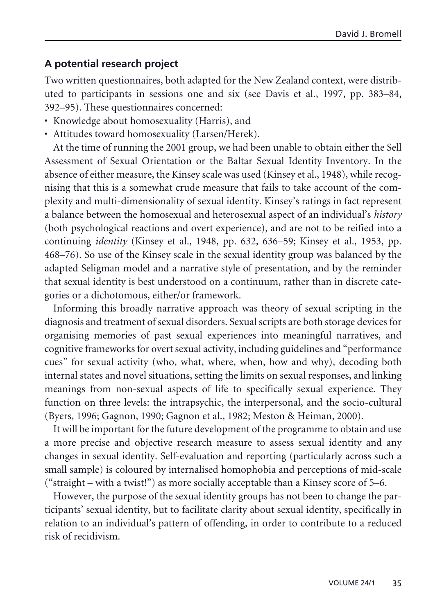### **A potential research project**

Two written questionnaires, both adapted for the New Zealand context, were distributed to participants in sessions one and six (see Davis et al., 1997, pp. 383–84, 392–95). These questionnaires concerned:

- Knowledge about homosexuality (Harris), and
- Attitudes toward homosexuality (Larsen/Herek).

At the time of running the 2001 group, we had been unable to obtain either the Sell Assessment of Sexual Orientation or the Baltar Sexual Identity Inventory. In the absence of either measure, the Kinsey scale was used (Kinsey et al., 1948), while recognising that this is a somewhat crude measure that fails to take account of the complexity and multi-dimensionality of sexual identity. Kinsey's ratings in fact represent a balance between the homosexual and heterosexual aspect of an individual's *history* (both psychological reactions and overt experience), and are not to be reified into a continuing *identity* (Kinsey et al., 1948, pp. 632, 636–59; Kinsey et al., 1953, pp. 468–76). So use of the Kinsey scale in the sexual identity group was balanced by the adapted Seligman model and a narrative style of presentation, and by the reminder that sexual identity is best understood on a continuum, rather than in discrete categories or a dichotomous, either/or framework.

Informing this broadly narrative approach was theory of sexual scripting in the diagnosis and treatment of sexual disorders. Sexual scripts are both storage devices for organising memories of past sexual experiences into meaningful narratives, and cognitive frameworks for overt sexual activity, including guidelines and "performance cues" for sexual activity (who, what, where, when, how and why), decoding both internal states and novel situations, setting the limits on sexual responses, and linking meanings from non-sexual aspects of life to specifically sexual experience. They function on three levels: the intrapsychic, the interpersonal, and the socio-cultural (Byers, 1996; Gagnon, 1990; Gagnon et al., 1982; Meston & Heiman, 2000).

It will be important for the future development of the programme to obtain and use a more precise and objective research measure to assess sexual identity and any changes in sexual identity. Self-evaluation and reporting (particularly across such a small sample) is coloured by internalised homophobia and perceptions of mid-scale ("straight – with a twist!") as more socially acceptable than a Kinsey score of 5–6.

However, the purpose of the sexual identity groups has not been to change the participants' sexual identity, but to facilitate clarity about sexual identity, specifically in relation to an individual's pattern of offending, in order to contribute to a reduced risk of recidivism.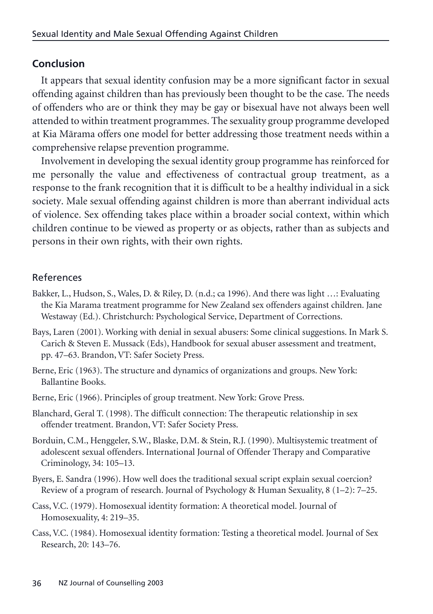### **Conclusion**

It appears that sexual identity confusion may be a more significant factor in sexual offending against children than has previously been thought to be the case. The needs of offenders who are or think they may be gay or bisexual have not always been well attended to within treatment programmes. The sexuality group programme developed at Kia Märama offers one model for better addressing those treatment needs within a comprehensive relapse prevention programme.

Involvement in developing the sexual identity group programme has reinforced for me personally the value and effectiveness of contractual group treatment, as a response to the frank recognition that it is difficult to be a healthy individual in a sick society. Male sexual offending against children is more than aberrant individual acts of violence. Sex offending takes place within a broader social context, within which children continue to be viewed as property or as objects, rather than as subjects and persons in their own rights, with their own rights.

### References

- Bakker, L., Hudson, S., Wales, D. & Riley, D. (n.d.; ca 1996). And there was light …: Evaluating the Kia Marama treatment programme for New Zealand sex offenders against children. Jane Westaway (Ed.). Christchurch: Psychological Service, Department of Corrections.
- Bays, Laren (2001). Working with denial in sexual abusers: Some clinical suggestions. In Mark S. Carich & Steven E. Mussack (Eds), Handbook for sexual abuser assessment and treatment, pp. 47–63. Brandon, VT: Safer Society Press.
- Berne, Eric (1963). The structure and dynamics of organizations and groups. New York: Ballantine Books.
- Berne, Eric (1966). Principles of group treatment. New York: Grove Press.
- Blanchard, Geral T. (1998). The difficult connection: The therapeutic relationship in sex offender treatment. Brandon, VT: Safer Society Press.
- Borduin, C.M., Henggeler, S.W., Blaske, D.M. & Stein, R.J. (1990). Multisystemic treatment of adolescent sexual offenders. International Journal of Offender Therapy and Comparative Criminology, 34: 105–13.
- Byers, E. Sandra (1996). How well does the traditional sexual script explain sexual coercion? Review of a program of research. Journal of Psychology & Human Sexuality, 8 (1–2): 7–25.
- Cass, V.C. (1979). Homosexual identity formation: A theoretical model. Journal of Homosexuality, 4: 219–35.
- Cass, V.C. (1984). Homosexual identity formation: Testing a theoretical model. Journal of Sex Research, 20: 143–76.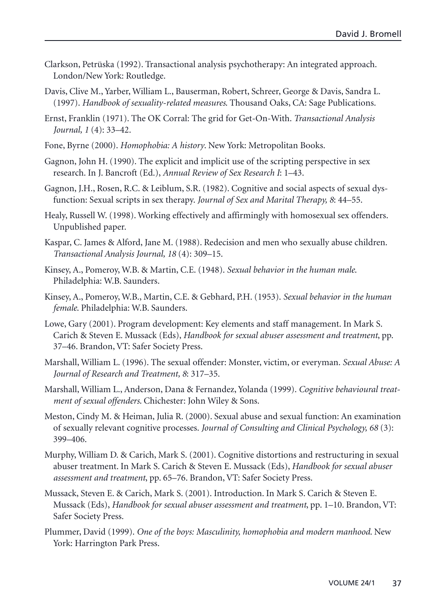- Clarkson, Petrüska (1992). Transactional analysis psychotherapy: An integrated approach. London/New York: Routledge.
- Davis, Clive M., Yarber, William L., Bauserman, Robert, Schreer, George & Davis, Sandra L. (1997). *Handbook of sexuality-related measures*. Thousand Oaks, CA: Sage Publications.
- Ernst, Franklin (1971). The OK Corral: The grid for Get-On-With. *Transactional Analysis Journal, 1* (4): 33–42.
- Fone, Byrne (2000). *Homophobia: A history*. New York: Metropolitan Books.
- Gagnon, John H. (1990). The explicit and implicit use of the scripting perspective in sex research. In J. Bancroft (Ed.), *Annual Review of Sex Research I*: 1–43.
- Gagnon, J.H., Rosen, R.C. & Leiblum, S.R. (1982). Cognitive and social aspects of sexual dysfunction: Sexual scripts in sex therapy. *Journal of Sex and Marital Therapy, 8*: 44–55.
- Healy, Russell W. (1998). Working effectively and affirmingly with homosexual sex offenders. Unpublished paper.
- Kaspar, C. James & Alford, Jane M. (1988). Redecision and men who sexually abuse children. *Transactional Analysis Journal, 18* (4): 309–15.
- Kinsey, A., Pomeroy, W.B. & Martin, C.E. (1948). *Sexual behavior in the human male*. Philadelphia: W.B. Saunders.
- Kinsey, A., Pomeroy, W.B., Martin, C.E. & Gebhard, P.H. (1953). *Sexual behavior in the human female*. Philadelphia: W.B. Saunders.
- Lowe, Gary (2001). Program development: Key elements and staff management. In Mark S. Carich & Steven E. Mussack (Eds), *Handbook for sexual abuser assessment and treatment*, pp. 37–46. Brandon, VT: Safer Society Press.
- Marshall, William L. (1996). The sexual offender: Monster, victim, or everyman. *Sexual Abuse: A Journal of Research and Treatment, 8*: 317–35.
- Marshall, William L., Anderson, Dana & Fernandez, Yolanda (1999). *Cognitive behavioural treatment of sexual offenders*. Chichester: John Wiley & Sons.
- Meston, Cindy M. & Heiman, Julia R. (2000). Sexual abuse and sexual function: An examination of sexually relevant cognitive processes. *Journal of Consulting and Clinical Psychology, 68* (3): 399–406.
- Murphy, William D. & Carich, Mark S. (2001). Cognitive distortions and restructuring in sexual abuser treatment. In Mark S. Carich & Steven E. Mussack (Eds), *Handbook for sexual abuser assessment and treatment*, pp. 65–76. Brandon, VT: Safer Society Press.
- Mussack, Steven E. & Carich, Mark S. (2001). Introduction. In Mark S. Carich & Steven E. Mussack (Eds), *Handbook for sexual abuser assessment and treatment*, pp. 1–10. Brandon, VT: Safer Society Press.
- Plummer, David (1999). *One of the boys: Masculinity, homophobia and modern manhood*. New York: Harrington Park Press.